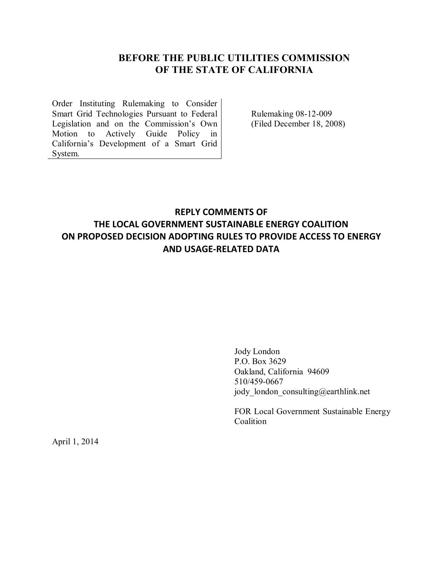### **BEFORE THE PUBLIC UTILITIES COMMISSION OF THE STATE OF CALIFORNIA**

Order Instituting Rulemaking to Consider Smart Grid Technologies Pursuant to Federal Legislation and on the Commission's Own Motion to Actively Guide Policy in California's Development of a Smart Grid System.

Rulemaking 08-12-009 (Filed December 18, 2008)

# **REPLY COMMENTS OF THE LOCAL GOVERNMENT SUSTAINABLE ENERGY COALITION ON PROPOSED DECISION ADOPTING RULES TO PROVIDE ACCESS TO ENERGY AND USAGE-RELATED DATA**

Jody London P.O. Box 3629 Oakland, California 94609 510/459-0667 jody london consulting@earthlink.net

FOR Local Government Sustainable Energy Coalition

April 1, 2014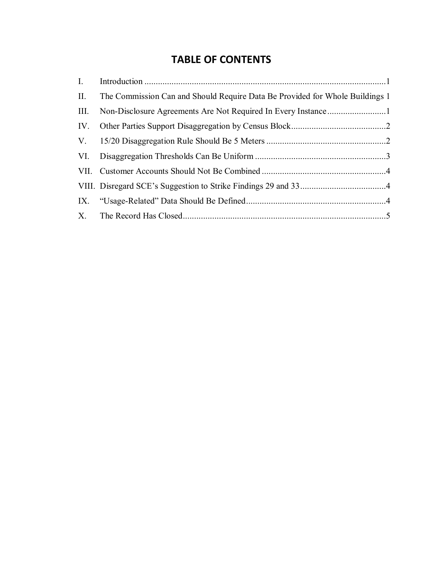# **TABLE OF CONTENTS**

| I.   |                                                                              |  |
|------|------------------------------------------------------------------------------|--|
| II.  | The Commission Can and Should Require Data Be Provided for Whole Buildings 1 |  |
| III. |                                                                              |  |
|      |                                                                              |  |
|      |                                                                              |  |
|      |                                                                              |  |
|      |                                                                              |  |
|      |                                                                              |  |
|      |                                                                              |  |
|      |                                                                              |  |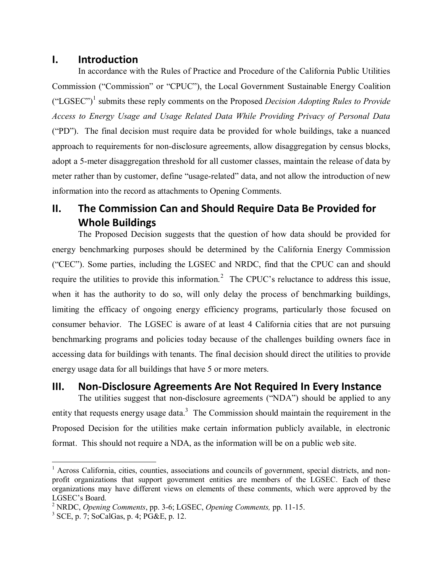#### <span id="page-2-0"></span>**I. Introduction**

In accordance with the Rules of Practice and Procedure of the California Public Utilities Commission ("Commission" or "CPUC"), the Local Government Sustainable Energy Coalition ("LGSEC")<sup>1</sup> submits these reply comments on the Proposed *Decision Adopting Rules to Provide Access to Energy Usage and Usage Related Data While Providing Privacy of Personal Data* ("PD"). The final decision must require data be provided for whole buildings, take a nuanced approach to requirements for non-disclosure agreements, allow disaggregation by census blocks, adopt a 5-meter disaggregation threshold for all customer classes, maintain the release of data by meter rather than by customer, define "usage-related" data, and not allow the introduction of new information into the record as attachments to Opening Comments.

# <span id="page-2-1"></span>**II. The Commission Can and Should Require Data Be Provided for Whole Buildings**

The Proposed Decision suggests that the question of how data should be provided for energy benchmarking purposes should be determined by the California Energy Commission ("CEC"). Some parties, including the LGSEC and NRDC, find that the CPUC can and should require the utilities to provide this information.<sup>2</sup> The CPUC's reluctance to address this issue, when it has the authority to do so, will only delay the process of benchmarking buildings, limiting the efficacy of ongoing energy efficiency programs, particularly those focused on consumer behavior. The LGSEC is aware of at least 4 California cities that are not pursuing benchmarking programs and policies today because of the challenges building owners face in accessing data for buildings with tenants. The final decision should direct the utilities to provide energy usage data for all buildings that have 5 or more meters.

## <span id="page-2-2"></span>**III. Non-Disclosure Agreements Are Not Required In Every Instance**

The utilities suggest that non-disclosure agreements ("NDA") should be applied to any entity that requests energy usage data.<sup>3</sup> The Commission should maintain the requirement in the Proposed Decision for the utilities make certain information publicly available, in electronic format. This should not require a NDA, as the information will be on a public web site.

<sup>&</sup>lt;sup>1</sup> Across California, cities, counties, associations and councils of government, special districts, and nonprofit organizations that support government entities are members of the LGSEC. Each of these organizations may have different views on elements of these comments, which were approved by the LGSEC's Board.

<sup>2</sup> NRDC, *Opening Comments*, pp. 3-6; LGSEC, *Opening Comments,* pp. 11-15.

<sup>3</sup> SCE, p. 7; SoCalGas, p. 4; PG&E, p. 12.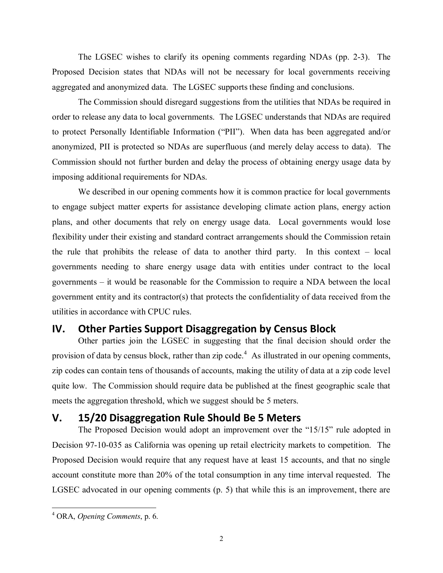The LGSEC wishes to clarify its opening comments regarding NDAs (pp. 2-3). The Proposed Decision states that NDAs will not be necessary for local governments receiving aggregated and anonymized data. The LGSEC supports these finding and conclusions.

The Commission should disregard suggestions from the utilities that NDAs be required in order to release any data to local governments. The LGSEC understands that NDAs are required to protect Personally Identifiable Information ("PII"). When data has been aggregated and/or anonymized, PII is protected so NDAs are superfluous (and merely delay access to data). The Commission should not further burden and delay the process of obtaining energy usage data by imposing additional requirements for NDAs.

We described in our opening comments how it is common practice for local governments to engage subject matter experts for assistance developing climate action plans, energy action plans, and other documents that rely on energy usage data. Local governments would lose flexibility under their existing and standard contract arrangements should the Commission retain the rule that prohibits the release of data to another third party. In this context – local governments needing to share energy usage data with entities under contract to the local governments – it would be reasonable for the Commission to require a NDA between the local government entity and its contractor(s) that protects the confidentiality of data received from the utilities in accordance with CPUC rules.

## <span id="page-3-0"></span>**IV. Other Parties Support Disaggregation by Census Block**

Other parties join the LGSEC in suggesting that the final decision should order the provision of data by census block, rather than zip code.<sup>4</sup> As illustrated in our opening comments, zip codes can contain tens of thousands of accounts, making the utility of data at a zip code level quite low. The Commission should require data be published at the finest geographic scale that meets the aggregation threshold, which we suggest should be 5 meters.

#### <span id="page-3-1"></span>**V. 15/20 Disaggregation Rule Should Be 5 Meters**

The Proposed Decision would adopt an improvement over the "15/15" rule adopted in Decision 97-10-035 as California was opening up retail electricity markets to competition. The Proposed Decision would require that any request have at least 15 accounts, and that no single account constitute more than 20% of the total consumption in any time interval requested. The LGSEC advocated in our opening comments (p. 5) that while this is an improvement, there are

<sup>4</sup> ORA, *Opening Comments*, p. 6.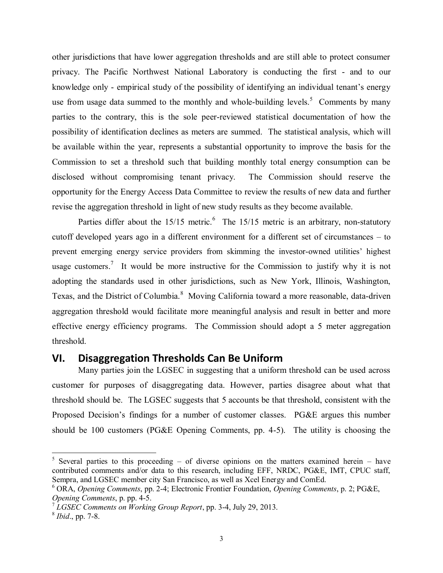other jurisdictions that have lower aggregation thresholds and are still able to protect consumer privacy. The Pacific Northwest National Laboratory is conducting the first - and to our knowledge only - empirical study of the possibility of identifying an individual tenant's energy use from usage data summed to the monthly and whole-building levels.<sup>5</sup> Comments by many parties to the contrary, this is the sole peer-reviewed statistical documentation of how the possibility of identification declines as meters are summed. The statistical analysis, which will be available within the year, represents a substantial opportunity to improve the basis for the Commission to set a threshold such that building monthly total energy consumption can be disclosed without compromising tenant privacy. The Commission should reserve the opportunity for the Energy Access Data Committee to review the results of new data and further revise the aggregation threshold in light of new study results as they become available.

Parties differ about the  $15/15$  metric.<sup>6</sup> The  $15/15$  metric is an arbitrary, non-statutory cutoff developed years ago in a different environment for a different set of circumstances – to prevent emerging energy service providers from skimming the investor-owned utilities' highest usage customers.<sup>7</sup> It would be more instructive for the Commission to justify why it is not adopting the standards used in other jurisdictions, such as New York, Illinois, Washington, Texas, and the District of Columbia.<sup>8</sup> Moving California toward a more reasonable, data-driven aggregation threshold would facilitate more meaningful analysis and result in better and more effective energy efficiency programs. The Commission should adopt a 5 meter aggregation threshold.

#### <span id="page-4-0"></span>**VI. Disaggregation Thresholds Can Be Uniform**

Many parties join the LGSEC in suggesting that a uniform threshold can be used across customer for purposes of disaggregating data. However, parties disagree about what that threshold should be. The LGSEC suggests that 5 accounts be that threshold, consistent with the Proposed Decision's findings for a number of customer classes. PG&E argues this number should be 100 customers (PG&E Opening Comments, pp. 4-5). The utility is choosing the

<sup>&</sup>lt;sup>5</sup> Several parties to this proceeding – of diverse opinions on the matters examined herein – have contributed comments and/or data to this research, including EFF, NRDC, PG&E, IMT, CPUC staff, Sempra, and LGSEC member city San Francisco, as well as Xcel Energy and ComEd.

<sup>6</sup> ORA, *Opening Comments*, pp. 2-4; Electronic Frontier Foundation, *Opening Comments*, p. 2; PG&E, *Opening Comments*, p. pp. 4-5.

<sup>7</sup> *LGSEC Comments on Working Group Report*, pp. 3-4, July 29, 2013.

<sup>8</sup> *Ibid*., pp. 7-8.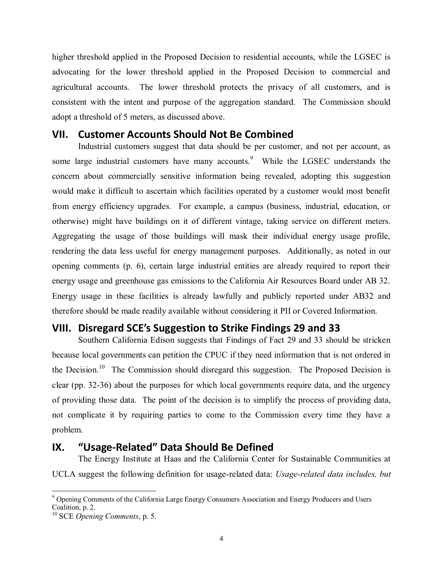higher threshold applied in the Proposed Decision to residential accounts, while the LGSEC is advocating for the lower threshold applied in the Proposed Decision to commercial and agricultural accounts. The lower threshold protects the privacy of all customers, and is consistent with the intent and purpose of the aggregation standard. The Commission should adopt a threshold of 5 meters, as discussed above.

#### <span id="page-5-0"></span>**VII. Customer Accounts Should Not Be Combined**

Industrial customers suggest that data should be per customer, and not per account, as some large industrial customers have many accounts.<sup>9</sup> While the LGSEC understands the concern about commercially sensitive information being revealed, adopting this suggestion would make it difficult to ascertain which facilities operated by a customer would most benefit from energy efficiency upgrades. For example, a campus (business, industrial, education, or otherwise) might have buildings on it of different vintage, taking service on different meters. Aggregating the usage of those buildings will mask their individual energy usage profile, rendering the data less useful for energy management purposes. Additionally, as noted in our opening comments (p. 6), certain large industrial entities are already required to report their energy usage and greenhouse gas emissions to the California Air Resources Board under AB 32. Energy usage in these facilities is already lawfully and publicly reported under AB32 and therefore should be made readily available without considering it PII or Covered Information.

## <span id="page-5-1"></span>**VIII. Disregard SCE's Suggestion to Strike Findings 29 and 33**

Southern California Edison suggests that Findings of Fact 29 and 33 should be stricken because local governments can petition the CPUC if they need information that is not ordered in the Decision.<sup>10</sup> The Commission should disregard this suggestion. The Proposed Decision is clear (pp. 32-36) about the purposes for which local governments require data, and the urgency of providing those data. The point of the decision is to simplify the process of providing data, not complicate it by requiring parties to come to the Commission every time they have a problem.

## <span id="page-5-2"></span>**IX. "Usage-Related" Data Should Be Defined**

The Energy Institute at Haas and the California Center for Sustainable Communities at UCLA suggest the following definition for usage-related data: *Usage-related data includes, but* 

 $\overline{a}$ <sup>9</sup> Opening Comments of the California Large Energy Consumers Association and Energy Producers and Users Coalition, p. 2.

<sup>10</sup> SCE *Opening Comments*, p. 5.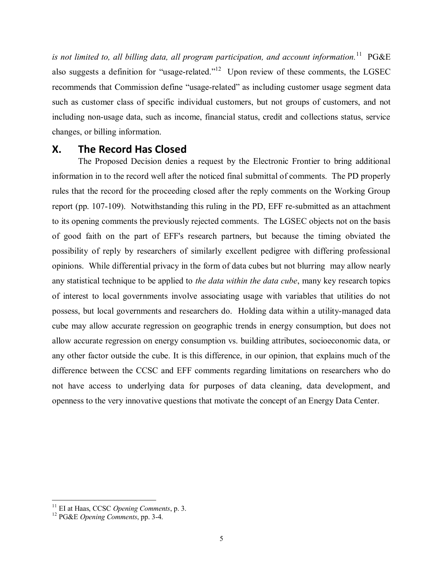is not limited to, all billing data, all program participation, and account information.<sup>11</sup> PG&E also suggests a definition for "usage-related."<sup>12</sup> Upon review of these comments, the LGSEC recommends that Commission define "usage-related" as including customer usage segment data such as customer class of specific individual customers, but not groups of customers, and not including non-usage data, such as income, financial status, credit and collections status, service changes, or billing information.

## <span id="page-6-0"></span>**X. The Record Has Closed**

The Proposed Decision denies a request by the Electronic Frontier to bring additional information in to the record well after the noticed final submittal of comments. The PD properly rules that the record for the proceeding closed after the reply comments on the Working Group report (pp. 107-109). Notwithstanding this ruling in the PD, EFF re-submitted as an attachment to its opening comments the previously rejected comments. The LGSEC objects not on the basis of good faith on the part of EFF's research partners, but because the timing obviated the possibility of reply by researchers of similarly excellent pedigree with differing professional opinions. While differential privacy in the form of data cubes but not blurring may allow nearly any statistical technique to be applied to *the data within the data cube*, many key research topics of interest to local governments involve associating usage with variables that utilities do not possess, but local governments and researchers do. Holding data within a utility-managed data cube may allow accurate regression on geographic trends in energy consumption, but does not allow accurate regression on energy consumption vs. building attributes, socioeconomic data, or any other factor outside the cube. It is this difference, in our opinion, that explains much of the difference between the CCSC and EFF comments regarding limitations on researchers who do not have access to underlying data for purposes of data cleaning, data development, and openness to the very innovative questions that motivate the concept of an Energy Data Center.

<sup>11</sup> EI at Haas, CCSC *Opening Comments*, p. 3.

<sup>12</sup> PG&E *Opening Comments*, pp. 3-4.